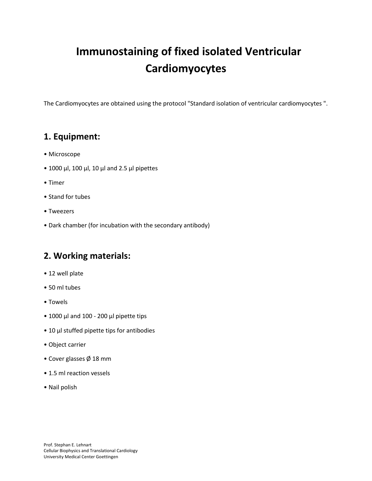# **Immunostaining of fixed isolated Ventricular Cardiomyocytes**

The Cardiomyocytes are obtained using the protocol "Standard isolation of ventricular cardiomyocytes ".

### **1. Equipment:**

- Microscope
- 1000 μl, 100 μl, 10 μl and 2.5 μl pipettes
- Timer
- Stand for tubes
- Tweezers
- Dark chamber (for incubation with the secondary antibody)

### **2. Working materials:**

- 12 well plate
- 50 ml tubes
- Towels
- 1000 μl and 100 200 μl pipette tips
- 10 μl stuffed pipette tips for antibodies
- Object carrier
- Cover glasses Ø 18 mm
- 1.5 ml reaction vessels
- Nail polish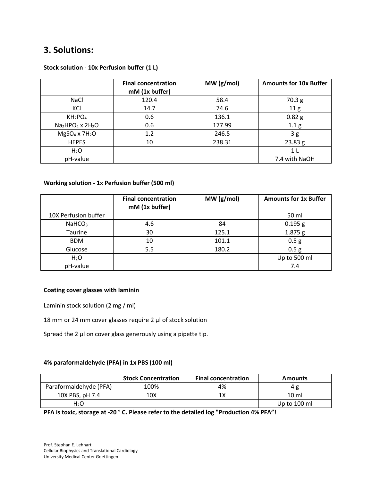### **3. Solutions:**

|                                                      | <b>Final concentration</b><br>mM (1x buffer) | MW(g/mol) | <b>Amounts for 10x Buffer</b> |
|------------------------------------------------------|----------------------------------------------|-----------|-------------------------------|
| <b>NaCl</b>                                          | 120.4                                        | 58.4      | 70.3 g                        |
| KCI                                                  | 14.7                                         | 74.6      | 11 <sub>g</sub>               |
| KH <sub>2</sub> PO <sub>4</sub>                      | 0.6                                          | 136.1     | 0.82 <sub>g</sub>             |
| Na <sub>2</sub> HPO <sub>4</sub> x 2H <sub>2</sub> O | 0.6                                          | 177.99    | 1.1 <sub>g</sub>              |
| $MgSO4 \times 7H2O$                                  | 1.2                                          | 246.5     | 3g                            |
| <b>HEPES</b>                                         | 10                                           | 238.31    | 23.83 g                       |
| $H_2O$                                               |                                              |           | 1 <sub>L</sub>                |
| pH-value                                             |                                              |           | 7.4 with NaOH                 |

#### **Stock solution - 10x Perfusion buffer (1 L)**

#### **Working solution - 1x Perfusion buffer (500 ml)**

|                      | <b>Final concentration</b><br>mM (1x buffer) | MW(g/mol) | <b>Amounts for 1x Buffer</b> |
|----------------------|----------------------------------------------|-----------|------------------------------|
| 10X Perfusion buffer |                                              |           | 50 ml                        |
| NaHCO <sub>3</sub>   | 4.6                                          | 84        | 0.195 g                      |
| Taurine              | 30                                           | 125.1     | 1.875 g                      |
| <b>BDM</b>           | 10                                           | 101.1     | 0.5 <sub>g</sub>             |
| Glucose              | 5.5                                          | 180.2     | 0.5 <sub>g</sub>             |
| $H_2O$               |                                              |           | Up to 500 ml                 |
| pH-value             |                                              |           | 7.4                          |

#### **Coating cover glasses with laminin**

Laminin stock solution (2 mg / ml)

18 mm or 24 mm cover glasses require 2 μl of stock solution

Spread the 2 μl on cover glass generously using a pipette tip.

#### **4% paraformaldehyde (PFA) in 1x PBS (100 ml)**

|                        | <b>Stock Concentration</b> | <b>Final concentration</b> | <b>Amounts</b>  |
|------------------------|----------------------------|----------------------------|-----------------|
| Paraformaldehyde (PFA) | 100%                       | 4%                         |                 |
| 10X PBS, pH 7.4        | 10X                        | 1Х                         | $10 \text{ ml}$ |
| H <sub>2</sub> O       |                            |                            | Up to 100 ml    |

**PFA is toxic, storage at -20 ° C. Please refer to the detailed log "Production 4% PFA"!**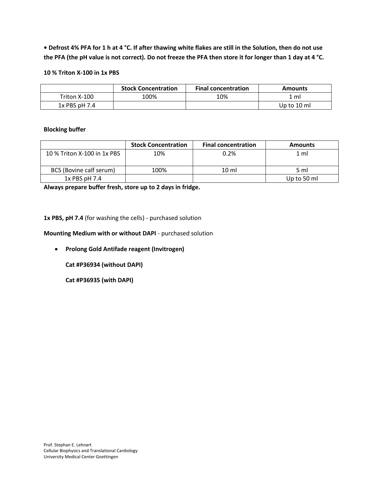**• Defrost 4% PFA for 1 h at 4 °C. If after thawing white flakes are still in the Solution, then do not use the PFA (the pH value is not correct). Do not freeze the PFA then store it for longer than 1 day at 4 °C.**

#### **10 % Triton X-100 in 1x PBS**

|                 | <b>Stock Concentration</b> | <b>Final concentration</b> | <b>Amounts</b> |
|-----------------|----------------------------|----------------------------|----------------|
| Triton X-100    | 100%                       | 10%                        | . ml           |
| $1x$ PBS pH 7.4 |                            |                            | Up to 10 ml    |

#### **Blocking buffer**

|                             | <b>Stock Concentration</b> | <b>Final concentration</b> | <b>Amounts</b> |
|-----------------------------|----------------------------|----------------------------|----------------|
| 10 % Triton X-100 in 1x PBS | 10%                        | 0.2%                       | $1 \text{ ml}$ |
| BCS (Bovine calf serum)     | 100%                       | $10 \mathrm{m}$            | 5 ml           |
| $1x$ PBS pH 7.4             |                            |                            | Up to 50 ml    |

**Always prepare buffer fresh, store up to 2 days in fridge.** 

**1x PBS, pH 7.4** (for washing the cells) - purchased solution

**Mounting Medium with or without DAPI** - purchased solution

**Prolong Gold Antifade reagent (Invitrogen)**

**Cat #P36934 (without DAPI)**

**Cat #P36935 (with DAPI)**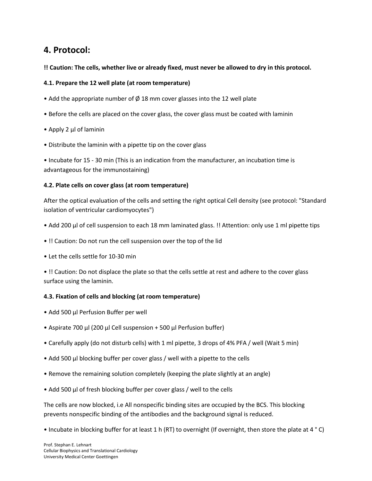### **4. Protocol:**

#### **!! Caution: The cells, whether live or already fixed, must never be allowed to dry in this protocol.**

#### **4.1. Prepare the 12 well plate (at room temperature)**

- Add the appropriate number of  $\varnothing$  18 mm cover glasses into the 12 well plate
- Before the cells are placed on the cover glass, the cover glass must be coated with laminin
- Apply 2 μl of laminin
- Distribute the laminin with a pipette tip on the cover glass

• Incubate for 15 - 30 min (This is an indication from the manufacturer, an incubation time is advantageous for the immunostaining)

#### **4.2. Plate cells on cover glass (at room temperature)**

After the optical evaluation of the cells and setting the right optical Cell density (see protocol: "Standard isolation of ventricular cardiomyocytes")

- Add 200 μl of cell suspension to each 18 mm laminated glass. !! Attention: only use 1 ml pipette tips
- !! Caution: Do not run the cell suspension over the top of the lid
- Let the cells settle for 10-30 min

• !! Caution: Do not displace the plate so that the cells settle at rest and adhere to the cover glass surface using the laminin.

#### **4.3. Fixation of cells and blocking (at room temperature)**

- Add 500 μl Perfusion Buffer per well
- Aspirate 700 μl (200 μl Cell suspension + 500 μl Perfusion buffer)
- Carefully apply (do not disturb cells) with 1 ml pipette, 3 drops of 4% PFA / well (Wait 5 min)
- Add 500 μl blocking buffer per cover glass / well with a pipette to the cells
- Remove the remaining solution completely (keeping the plate slightly at an angle)
- Add 500 μl of fresh blocking buffer per cover glass / well to the cells

The cells are now blocked, i.e All nonspecific binding sites are occupied by the BCS. This blocking prevents nonspecific binding of the antibodies and the background signal is reduced.

• Incubate in blocking buffer for at least 1 h (RT) to overnight (If overnight, then store the plate at 4 ° C)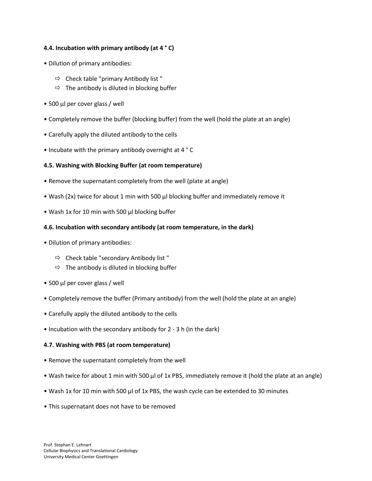#### **4.4. Incubation with primary antibody (at 4 ° C)**

- Dilution of primary antibodies:
	- $\Rightarrow$  Check table "primary Antibody list"
	- $\Rightarrow$  The antibody is diluted in blocking buffer
- 500 μl per cover glass / well
- Completely remove the buffer (blocking buffer) from the well (hold the plate at an angle)
- Carefully apply the diluted antibody to the cells
- Incubate with the primary antibody overnight at 4 ° C

#### **4.5. Washing with Blocking Buffer (at room temperature)**

- Remove the supernatant completely from the well (plate at angle)
- Wash (2x) twice for about 1 min with 500 μl blocking buffer and immediately remove it
- Wash 1x for 10 min with 500 μl blocking buffer

#### **4.6. Incubation with secondary antibody (at room temperature, in the dark)**

- Dilution of primary antibodies:
	- $\Rightarrow$  Check table "secondary Antibody list"
	- $\Rightarrow$  The antibody is diluted in blocking buffer
- 500 μl per cover glass / well
- Completely remove the buffer (Primary antibody) from the well (hold the plate at an angle)
- Carefully apply the diluted antibody to the cells
- Incubation with the secondary antibody for 2 3 h (in the dark)

#### **4.7. Washing with PBS (at room temperature)**

- Remove the supernatant completely from the well
- Wash twice for about 1 min with 500 μl of 1x PBS, immediately remove it (hold the plate at an angle)
- Wash 1x for 10 min with 500 μl of 1x PBS, the wash cycle can be extended to 30 minutes
- This supernatant does not have to be removed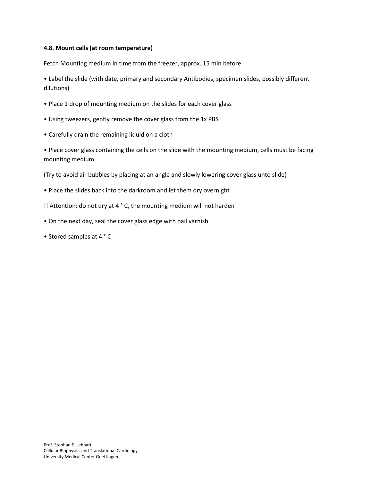#### **4.8. Mount cells (at room temperature)**

Fetch Mounting medium in time from the freezer, approx. 15 min before

• Label the slide (with date, primary and secondary Antibodies, specimen slides, possibly different dilutions)

- Place 1 drop of mounting medium on the slides for each cover glass
- Using tweezers, gently remove the cover glass from the 1x PBS
- Carefully drain the remaining liquid on a cloth

• Place cover glass containing the cells on the slide with the mounting medium, cells must be facing mounting medium

(Try to avoid air bubbles by placing at an angle and slowly lowering cover glass unto slide)

- Place the slides back into the darkroom and let them dry overnight
- !! Attention: do not dry at 4 ° C, the mounting medium will not harden
- On the next day, seal the cover glass edge with nail varnish
- Stored samples at 4 ° C